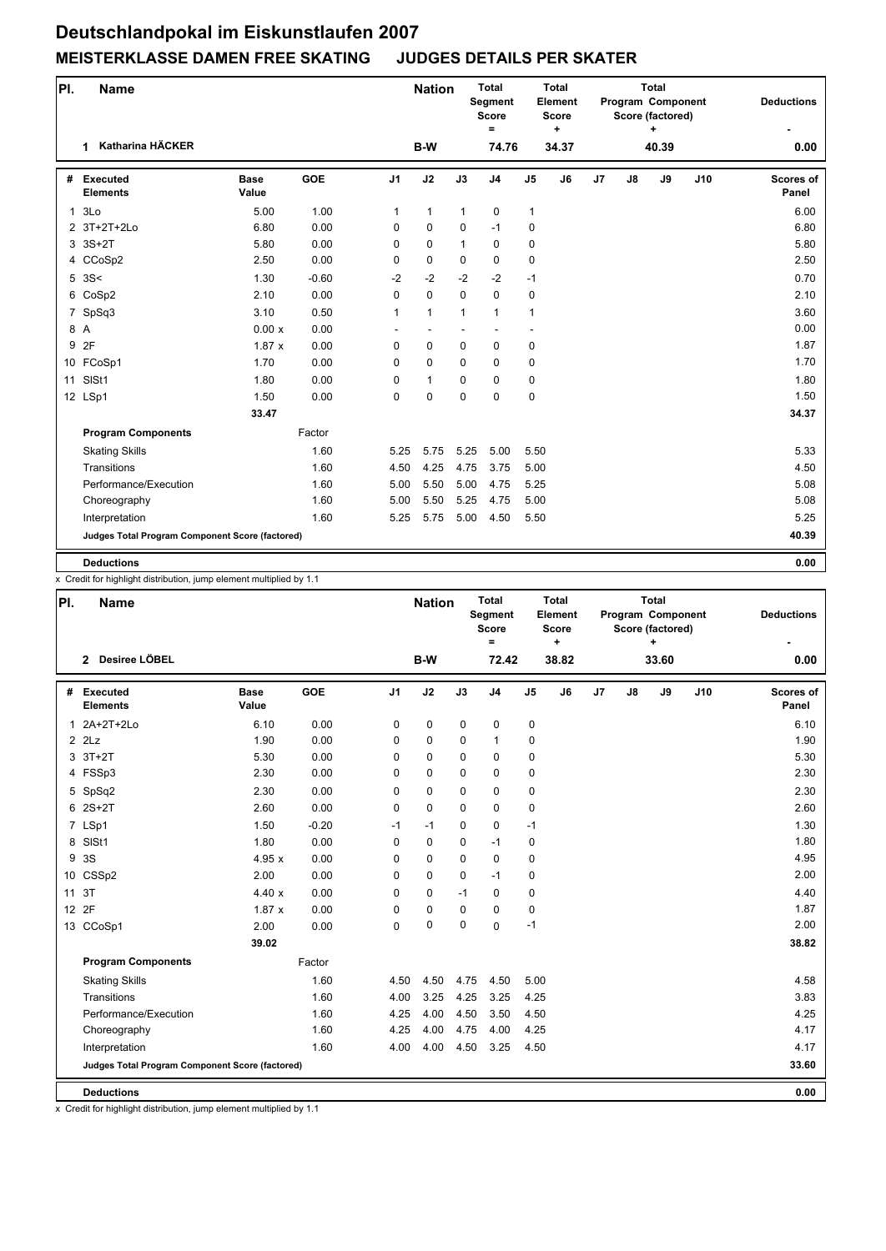## **Deutschlandpokal im Eiskunstlaufen 2007 MEISTERKLASSE DAMEN FREE SKATING JUDGES DETAILS PER SKATER**

| PI.            | <b>Name</b>                                     |                      |         |                | <b>Nation</b>            |              | <b>Total</b><br>Segment<br><b>Score</b><br>$\equiv$ |                | <b>Total</b><br>Element<br>Score<br>٠ | Total<br>Program Component<br>Score (factored)<br>٠ |    |       |     | <b>Deductions</b>         |
|----------------|-------------------------------------------------|----------------------|---------|----------------|--------------------------|--------------|-----------------------------------------------------|----------------|---------------------------------------|-----------------------------------------------------|----|-------|-----|---------------------------|
|                | Katharina HÄCKER<br>1                           |                      |         |                | B-W                      |              | 74.76                                               |                | 34.37                                 |                                                     |    | 40.39 |     | 0.00                      |
| #              | <b>Executed</b><br><b>Elements</b>              | <b>Base</b><br>Value | GOE     | J <sub>1</sub> | J2                       | J3           | J <sub>4</sub>                                      | J <sub>5</sub> | J <sub>6</sub>                        | J7                                                  | J8 | J9    | J10 | <b>Scores of</b><br>Panel |
| $\mathbf{1}$   | 3Lo                                             | 5.00                 | 1.00    | $\mathbf{1}$   | 1                        | $\mathbf{1}$ | $\pmb{0}$                                           | 1              |                                       |                                                     |    |       |     | 6.00                      |
|                | 2 3T+2T+2Lo                                     | 6.80                 | 0.00    | 0              | 0                        | $\mathbf 0$  | $-1$                                                | 0              |                                       |                                                     |    |       |     | 6.80                      |
|                | 3 3S+2T                                         | 5.80                 | 0.00    | 0              | 0                        | $\mathbf{1}$ | $\mathbf 0$                                         | 0              |                                       |                                                     |    |       |     | 5.80                      |
|                | 4 CCoSp2                                        | 2.50                 | 0.00    | 0              | 0                        | 0            | $\pmb{0}$                                           | 0              |                                       |                                                     |    |       |     | 2.50                      |
|                | 5.3S<                                           | 1.30                 | $-0.60$ | $-2$           | $-2$                     | $-2$         | $-2$                                                | $-1$           |                                       |                                                     |    |       |     | 0.70                      |
|                | 6 CoSp2                                         | 2.10                 | 0.00    | $\Omega$       | 0                        | $\Omega$     | $\Omega$                                            | 0              |                                       |                                                     |    |       |     | 2.10                      |
| $\overline{7}$ | SpSq3                                           | 3.10                 | 0.50    | $\mathbf{1}$   | $\mathbf{1}$             | $\mathbf{1}$ | $\mathbf{1}$                                        | 1              |                                       |                                                     |    |       |     | 3.60                      |
| 8 A            |                                                 | 0.00 x               | 0.00    | ٠              | $\overline{\phantom{m}}$ |              | $\overline{a}$                                      | ٠              |                                       |                                                     |    |       |     | 0.00                      |
|                | 9 2F                                            | 1.87x                | 0.00    | 0              | 0                        | $\mathbf 0$  | 0                                                   | 0              |                                       |                                                     |    |       |     | 1.87                      |
|                | 10 FCoSp1                                       | 1.70                 | 0.00    | 0              | 0                        | $\Omega$     | $\mathbf 0$                                         | 0              |                                       |                                                     |    |       |     | 1.70                      |
| 11             | SISt1                                           | 1.80                 | 0.00    | 0              | $\mathbf{1}$             | 0            | $\mathbf 0$                                         | 0              |                                       |                                                     |    |       |     | 1.80                      |
|                | 12 LSp1                                         | 1.50                 | 0.00    | $\Omega$       | 0                        | $\Omega$     | $\mathbf 0$                                         | 0              |                                       |                                                     |    |       |     | 1.50                      |
|                |                                                 | 33.47                |         |                |                          |              |                                                     |                |                                       |                                                     |    |       |     | 34.37                     |
|                | <b>Program Components</b>                       |                      | Factor  |                |                          |              |                                                     |                |                                       |                                                     |    |       |     |                           |
|                | <b>Skating Skills</b>                           |                      | 1.60    | 5.25           | 5.75                     | 5.25         | 5.00                                                | 5.50           |                                       |                                                     |    |       |     | 5.33                      |
|                | Transitions                                     |                      | 1.60    | 4.50           | 4.25                     | 4.75         | 3.75                                                | 5.00           |                                       |                                                     |    |       |     | 4.50                      |
|                | Performance/Execution                           |                      | 1.60    | 5.00           | 5.50                     | 5.00         | 4.75                                                | 5.25           |                                       |                                                     |    |       |     | 5.08                      |
|                | Choreography                                    |                      | 1.60    | 5.00           | 5.50                     | 5.25         | 4.75                                                | 5.00           |                                       |                                                     |    |       |     | 5.08                      |
|                | Interpretation                                  |                      | 1.60    | 5.25           | 5.75                     | 5.00         | 4.50                                                | 5.50           |                                       |                                                     |    |       |     | 5.25                      |
|                | Judges Total Program Component Score (factored) |                      |         |                |                          |              |                                                     |                |                                       |                                                     |    |       |     | 40.39                     |
|                | <b>Deductions</b>                               |                      |         |                |                          |              |                                                     |                |                                       |                                                     |    |       |     | 0.00                      |

x Credit for highlight distribution, jump element multiplied by 1.1

| PI. | <b>Name</b>                                     |                      |            |                | <b>Nation</b> |             | Total<br>Segment<br><b>Score</b><br>$=$ |                | <b>Total</b><br>Element<br><b>Score</b><br>$\ddot{}$ | Total<br>Program Component<br>Score (factored)<br>÷ |               |       | <b>Deductions</b> |                           |
|-----|-------------------------------------------------|----------------------|------------|----------------|---------------|-------------|-----------------------------------------|----------------|------------------------------------------------------|-----------------------------------------------------|---------------|-------|-------------------|---------------------------|
|     | 2 Desiree LÖBEL                                 |                      |            |                | B-W           |             | 72.42                                   |                | 38.82                                                |                                                     |               | 33.60 |                   | 0.00                      |
| #   | Executed<br><b>Elements</b>                     | <b>Base</b><br>Value | <b>GOE</b> | J <sub>1</sub> | J2            | J3          | J <sub>4</sub>                          | J <sub>5</sub> | J6                                                   | J <sub>7</sub>                                      | $\mathsf{J}8$ | J9    | J10               | <b>Scores of</b><br>Panel |
|     | 1 2A+2T+2Lo                                     | 6.10                 | 0.00       | 0              | 0             | $\mathbf 0$ | 0                                       | 0              |                                                      |                                                     |               |       |                   | 6.10                      |
|     | $2$ $2$ $Lz$                                    | 1.90                 | 0.00       | 0              | $\mathbf 0$   | $\mathbf 0$ | $\mathbf{1}$                            | 0              |                                                      |                                                     |               |       |                   | 1.90                      |
| 3   | $3T+2T$                                         | 5.30                 | 0.00       | 0              | 0             | $\Omega$    | $\mathbf 0$                             | 0              |                                                      |                                                     |               |       |                   | 5.30                      |
|     | 4 FSSp3                                         | 2.30                 | 0.00       | 0              | $\mathbf 0$   | $\mathbf 0$ | $\mathbf 0$                             | 0              |                                                      |                                                     |               |       |                   | 2.30                      |
|     | 5 SpSq2                                         | 2.30                 | 0.00       | 0              | $\mathbf 0$   | $\Omega$    | $\mathbf 0$                             | 0              |                                                      |                                                     |               |       |                   | 2.30                      |
|     | $62S+2T$                                        | 2.60                 | 0.00       | 0              | $\mathbf 0$   | $\Omega$    | $\mathbf 0$                             | 0              |                                                      |                                                     |               |       |                   | 2.60                      |
|     | 7 LSp1                                          | 1.50                 | $-0.20$    | $-1$           | $-1$          | $\mathbf 0$ | $\mathbf 0$                             | $-1$           |                                                      |                                                     |               |       |                   | 1.30                      |
|     | 8 SISt1                                         | 1.80                 | 0.00       | 0              | 0             | $\Omega$    | $-1$                                    | 0              |                                                      |                                                     |               |       |                   | 1.80                      |
| 9   | 3S                                              | 4.95x                | 0.00       | 0              | $\mathbf 0$   | $\Omega$    | $\mathbf 0$                             | 0              |                                                      |                                                     |               |       |                   | 4.95                      |
|     | 10 CSSp2                                        | 2.00                 | 0.00       | 0              | 0             | $\Omega$    | $-1$                                    | 0              |                                                      |                                                     |               |       |                   | 2.00                      |
| 11  | 3T                                              | 4.40x                | 0.00       | 0              | $\Omega$      | $-1$        | $\mathbf 0$                             | 0              |                                                      |                                                     |               |       |                   | 4.40                      |
|     | 12 2F                                           | 1.87x                | 0.00       | 0              | 0             | $\mathbf 0$ | $\mathbf 0$                             | 0              |                                                      |                                                     |               |       |                   | 1.87                      |
|     | 13 CCoSp1                                       | 2.00                 | 0.00       | 0              | $\mathbf 0$   | $\mathbf 0$ | 0                                       | $-1$           |                                                      |                                                     |               |       |                   | 2.00                      |
|     |                                                 | 39.02                |            |                |               |             |                                         |                |                                                      |                                                     |               |       |                   | 38.82                     |
|     | <b>Program Components</b>                       |                      | Factor     |                |               |             |                                         |                |                                                      |                                                     |               |       |                   |                           |
|     | <b>Skating Skills</b>                           |                      | 1.60       | 4.50           | 4.50          | 4.75        | 4.50                                    | 5.00           |                                                      |                                                     |               |       |                   | 4.58                      |
|     | Transitions                                     |                      | 1.60       | 4.00           | 3.25          | 4.25        | 3.25                                    | 4.25           |                                                      |                                                     |               |       |                   | 3.83                      |
|     | Performance/Execution                           |                      | 1.60       | 4.25           | 4.00          | 4.50        | 3.50                                    | 4.50           |                                                      |                                                     |               |       |                   | 4.25                      |
|     | Choreography                                    |                      | 1.60       | 4.25           | 4.00          | 4.75        | 4.00                                    | 4.25           |                                                      |                                                     |               |       |                   | 4.17                      |
|     | Interpretation                                  |                      | 1.60       | 4.00           | 4.00          | 4.50        | 3.25                                    | 4.50           |                                                      |                                                     |               |       |                   | 4.17                      |
|     | Judges Total Program Component Score (factored) |                      |            |                |               |             |                                         |                |                                                      |                                                     |               |       |                   | 33.60                     |
|     | <b>Deductions</b>                               |                      |            |                |               |             |                                         |                |                                                      |                                                     |               |       |                   | 0.00                      |

x Credit for highlight distribution, jump element multiplied by 1.1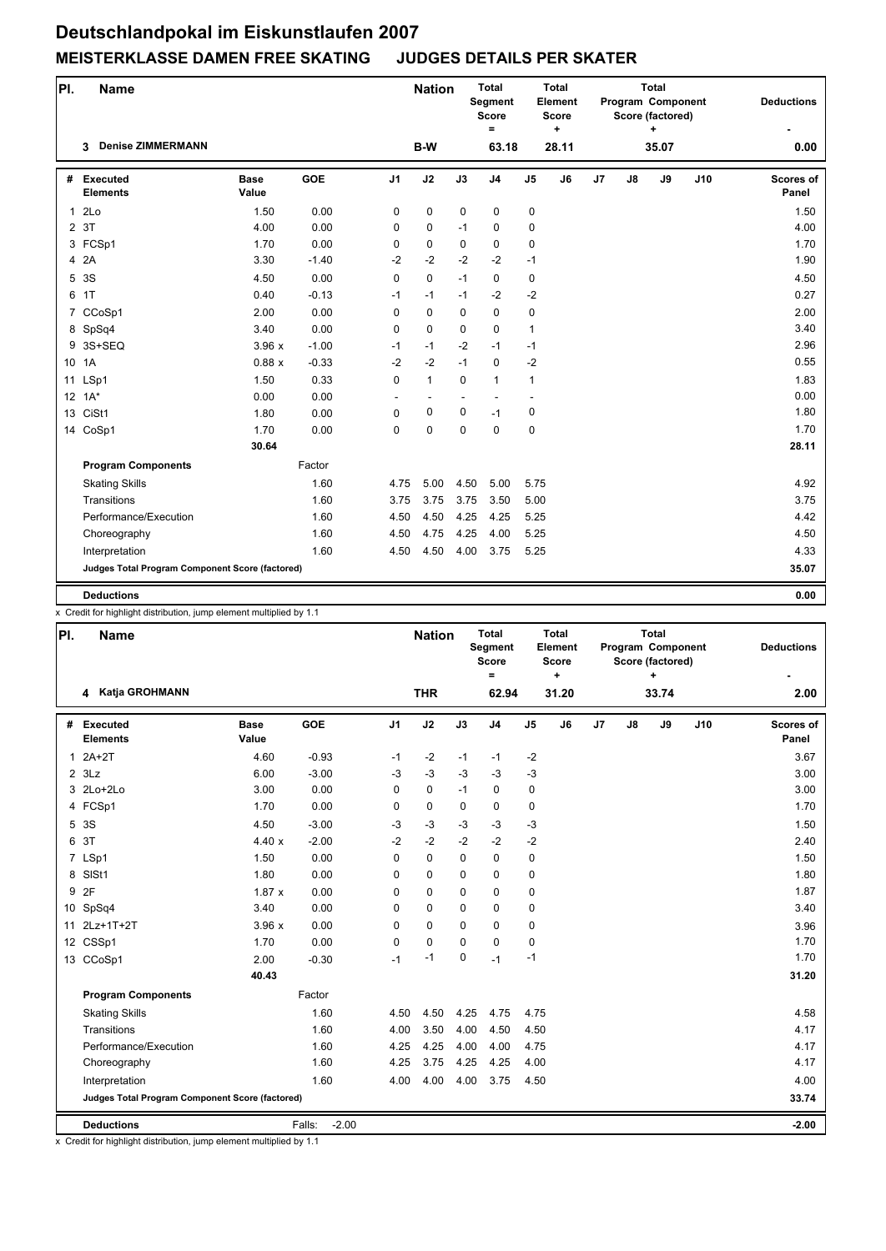## **Deutschlandpokal im Eiskunstlaufen 2007 MEISTERKLASSE DAMEN FREE SKATING JUDGES DETAILS PER SKATER**

| PI.            | <b>Name</b>                                     |                      |         |                | <b>Nation</b> |             | <b>Total</b><br><b>Segment</b><br><b>Score</b><br>$\equiv$ |                | <b>Total</b><br>Element<br><b>Score</b><br>$\ddot{}$ | <b>Total</b><br>Program Component<br>Score (factored)<br>٠. |                |       |     | <b>Deductions</b>         |
|----------------|-------------------------------------------------|----------------------|---------|----------------|---------------|-------------|------------------------------------------------------------|----------------|------------------------------------------------------|-------------------------------------------------------------|----------------|-------|-----|---------------------------|
|                | <b>Denise ZIMMERMANN</b><br>3                   |                      |         |                | B-W           |             | 63.18                                                      |                | 28.11                                                |                                                             |                | 35.07 |     | 0.00                      |
| #              | Executed<br><b>Elements</b>                     | <b>Base</b><br>Value | GOE     | J <sub>1</sub> | J2            | J3          | J <sub>4</sub>                                             | J <sub>5</sub> | J6                                                   | J7                                                          | $\mathbf{J}$ 8 | J9    | J10 | <b>Scores of</b><br>Panel |
| $\mathbf{1}$   | 2 <sub>LO</sub>                                 | 1.50                 | 0.00    | 0              | 0             | $\mathbf 0$ | $\pmb{0}$                                                  | 0              |                                                      |                                                             |                |       |     | 1.50                      |
| $\overline{2}$ | 3T                                              | 4.00                 | 0.00    | 0              | 0             | $-1$        | $\mathbf 0$                                                | 0              |                                                      |                                                             |                |       |     | 4.00                      |
|                | 3 FCSp1                                         | 1.70                 | 0.00    | 0              | 0             | $\mathbf 0$ | $\mathbf 0$                                                | 0              |                                                      |                                                             |                |       |     | 1.70                      |
|                | 4 2A                                            | 3.30                 | $-1.40$ | $-2$           | $-2$          | $-2$        | $-2$                                                       | $-1$           |                                                      |                                                             |                |       |     | 1.90                      |
| 5              | 3S                                              | 4.50                 | 0.00    | 0              | 0             | $-1$        | $\mathbf 0$                                                | 0              |                                                      |                                                             |                |       |     | 4.50                      |
| 6              | 1T                                              | 0.40                 | $-0.13$ | $-1$           | $-1$          | $-1$        | $-2$                                                       | $-2$           |                                                      |                                                             |                |       |     | 0.27                      |
| $\overline{7}$ | CCoSp1                                          | 2.00                 | 0.00    | $\Omega$       | 0             | $\Omega$    | $\mathbf 0$                                                | 0              |                                                      |                                                             |                |       |     | 2.00                      |
|                | 8 SpSq4                                         | 3.40                 | 0.00    | 0              | 0             | $\Omega$    | $\mathbf 0$                                                | $\mathbf{1}$   |                                                      |                                                             |                |       |     | 3.40                      |
| 9              | 3S+SEQ                                          | 3.96x                | $-1.00$ | $-1$           | $-1$          | $-2$        | $-1$                                                       | $-1$           |                                                      |                                                             |                |       |     | 2.96                      |
|                | 10 1A                                           | 0.88x                | $-0.33$ | $-2$           | $-2$          | $-1$        | $\mathbf 0$                                                | $-2$           |                                                      |                                                             |                |       |     | 0.55                      |
|                | 11 LSp1                                         | 1.50                 | 0.33    | 0              | $\mathbf{1}$  | $\mathbf 0$ | $\mathbf{1}$                                               | $\mathbf{1}$   |                                                      |                                                             |                |       |     | 1.83                      |
|                | $12 \t1A*$                                      | 0.00                 | 0.00    |                |               |             |                                                            |                |                                                      |                                                             |                |       |     | 0.00                      |
|                | 13 CiSt1                                        | 1.80                 | 0.00    | $\mathbf 0$    | 0             | $\pmb{0}$   | $-1$                                                       | 0              |                                                      |                                                             |                |       |     | 1.80                      |
|                | 14 CoSp1                                        | 1.70                 | 0.00    | 0              | $\mathbf 0$   | $\Omega$    | $\Omega$                                                   | 0              |                                                      |                                                             |                |       |     | 1.70                      |
|                |                                                 | 30.64                |         |                |               |             |                                                            |                |                                                      |                                                             |                |       |     | 28.11                     |
|                | <b>Program Components</b>                       |                      | Factor  |                |               |             |                                                            |                |                                                      |                                                             |                |       |     |                           |
|                | <b>Skating Skills</b>                           |                      | 1.60    | 4.75           | 5.00          | 4.50        | 5.00                                                       | 5.75           |                                                      |                                                             |                |       |     | 4.92                      |
|                | Transitions                                     |                      | 1.60    | 3.75           | 3.75          | 3.75        | 3.50                                                       | 5.00           |                                                      |                                                             |                |       |     | 3.75                      |
|                | Performance/Execution                           |                      | 1.60    | 4.50           | 4.50          | 4.25        | 4.25                                                       | 5.25           |                                                      |                                                             |                |       |     | 4.42                      |
|                | Choreography                                    |                      | 1.60    | 4.50           | 4.75          | 4.25        | 4.00                                                       | 5.25           |                                                      |                                                             |                |       |     | 4.50                      |
|                | Interpretation                                  |                      | 1.60    | 4.50           | 4.50          | 4.00        | 3.75                                                       | 5.25           |                                                      |                                                             |                |       |     | 4.33                      |
|                | Judges Total Program Component Score (factored) |                      |         |                |               |             |                                                            |                |                                                      |                                                             |                |       |     | 35.07                     |
|                | <b>Deductions</b>                               |                      |         |                |               |             |                                                            |                |                                                      |                                                             |                |       |     | 0.00                      |

x Credit for highlight distribution, jump element multiplied by 1.1

| PI. | <b>Name</b>                                     |                      |                   |                | <b>Nation</b> |             | <b>Total</b><br>Segment<br><b>Score</b><br>$\equiv$ |                | Total<br>Element<br><b>Score</b><br>÷ | <b>Total</b><br>Program Component<br>Score (factored)<br>÷ |    |       |     | <b>Deductions</b>         |
|-----|-------------------------------------------------|----------------------|-------------------|----------------|---------------|-------------|-----------------------------------------------------|----------------|---------------------------------------|------------------------------------------------------------|----|-------|-----|---------------------------|
|     | 4 Katja GROHMANN                                |                      |                   |                | <b>THR</b>    |             | 62.94                                               |                | 31.20                                 |                                                            |    | 33.74 |     | 2.00                      |
|     | # Executed<br><b>Elements</b>                   | <b>Base</b><br>Value | <b>GOE</b>        | J <sub>1</sub> | J2            | J3          | J <sub>4</sub>                                      | J <sub>5</sub> | J6                                    | J7                                                         | J8 | J9    | J10 | <b>Scores of</b><br>Panel |
| 1   | $2A+2T$                                         | 4.60                 | $-0.93$           | $-1$           | $-2$          | $-1$        | $-1$                                                | $-2$           |                                       |                                                            |    |       |     | 3.67                      |
|     | $2$ $3Lz$                                       | 6.00                 | $-3.00$           | $-3$           | $-3$          | $-3$        | $-3$                                                | $-3$           |                                       |                                                            |    |       |     | 3.00                      |
|     | 3 2Lo+2Lo                                       | 3.00                 | 0.00              | 0              | 0             | $-1$        | $\mathbf 0$                                         | 0              |                                       |                                                            |    |       |     | 3.00                      |
|     | 4 FCSp1                                         | 1.70                 | 0.00              | 0              | 0             | 0           | $\mathbf 0$                                         | 0              |                                       |                                                            |    |       |     | 1.70                      |
| 5   | 3S                                              | 4.50                 | $-3.00$           | $-3$           | $-3$          | $-3$        | $-3$                                                | $-3$           |                                       |                                                            |    |       |     | 1.50                      |
| 6   | 3T                                              | 4.40x                | $-2.00$           | $-2$           | $-2$          | $-2$        | $-2$                                                | $-2$           |                                       |                                                            |    |       |     | 2.40                      |
|     | 7 LSp1                                          | 1.50                 | 0.00              | 0              | 0             | $\Omega$    | 0                                                   | 0              |                                       |                                                            |    |       |     | 1.50                      |
| 8   | SISt1                                           | 1.80                 | 0.00              | 0              | 0             | 0           | $\mathbf 0$                                         | 0              |                                       |                                                            |    |       |     | 1.80                      |
|     | 9 2F                                            | 1.87x                | 0.00              | 0              | 0             | $\Omega$    | $\mathbf 0$                                         | 0              |                                       |                                                            |    |       |     | 1.87                      |
|     | 10 SpSq4                                        | 3.40                 | 0.00              | 0              | 0             | 0           | $\mathbf 0$                                         | 0              |                                       |                                                            |    |       |     | 3.40                      |
|     | 11 2Lz+1T+2T                                    | 3.96x                | 0.00              | 0              | $\Omega$      | $\Omega$    | $\Omega$                                            | 0              |                                       |                                                            |    |       |     | 3.96                      |
|     | 12 CSSp1                                        | 1.70                 | 0.00              | 0              | 0             | $\Omega$    | $\mathbf 0$                                         | 0              |                                       |                                                            |    |       |     | 1.70                      |
|     | 13 CCoSp1                                       | 2.00                 | $-0.30$           | $-1$           | $-1$          | $\mathbf 0$ | $-1$                                                | $-1$           |                                       |                                                            |    |       |     | 1.70                      |
|     |                                                 | 40.43                |                   |                |               |             |                                                     |                |                                       |                                                            |    |       |     | 31.20                     |
|     | <b>Program Components</b>                       |                      | Factor            |                |               |             |                                                     |                |                                       |                                                            |    |       |     |                           |
|     | <b>Skating Skills</b>                           |                      | 1.60              | 4.50           | 4.50          | 4.25        | 4.75                                                | 4.75           |                                       |                                                            |    |       |     | 4.58                      |
|     | Transitions                                     |                      | 1.60              | 4.00           | 3.50          | 4.00        | 4.50                                                | 4.50           |                                       |                                                            |    |       |     | 4.17                      |
|     | Performance/Execution                           |                      | 1.60              | 4.25           | 4.25          | 4.00        | 4.00                                                | 4.75           |                                       |                                                            |    |       |     | 4.17                      |
|     | Choreography                                    |                      | 1.60              | 4.25           | 3.75          | 4.25        | 4.25                                                | 4.00           |                                       |                                                            |    |       |     | 4.17                      |
|     | Interpretation                                  |                      | 1.60              | 4.00           | 4.00          | 4.00        | 3.75                                                | 4.50           |                                       |                                                            |    |       |     | 4.00                      |
|     | Judges Total Program Component Score (factored) |                      |                   |                |               |             |                                                     |                |                                       |                                                            |    |       |     | 33.74                     |
|     | <b>Deductions</b>                               |                      | $-2.00$<br>Falls: |                |               |             |                                                     |                |                                       |                                                            |    |       |     | $-2.00$                   |

x Credit for highlight distribution, jump element multiplied by 1.1